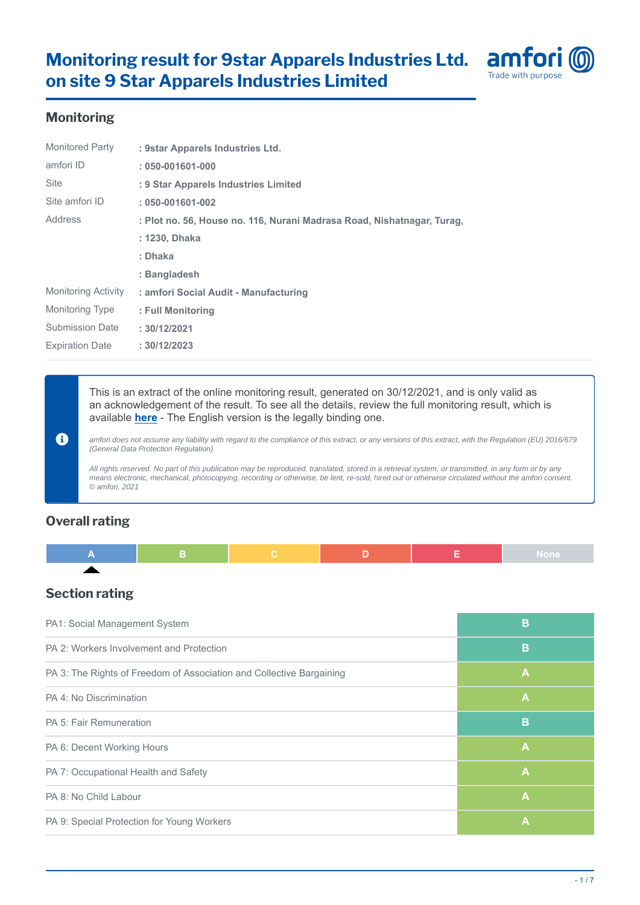

## **Monitoring**

| <b>Monitored Party</b>     | : 9star Apparels Industries Ltd.                                       |
|----------------------------|------------------------------------------------------------------------|
| amfori ID                  | $: 050 - 001601 - 000$                                                 |
| <b>Site</b>                | : 9 Star Apparels Industries Limited                                   |
| Site amfori ID             | $: 050 - 001601 - 002$                                                 |
| Address                    | : Plot no. 56, House no. 116, Nurani Madrasa Road, Nishatnagar, Turag, |
|                            | : 1230, Dhaka                                                          |
|                            | : Dhaka                                                                |
|                            | : Bangladesh                                                           |
| <b>Monitoring Activity</b> | : amfori Social Audit - Manufacturing                                  |
| <b>Monitoring Type</b>     | : Full Monitoring                                                      |
| <b>Submission Date</b>     | : 30/12/2021                                                           |
| <b>Expiration Date</b>     | :30/12/2023                                                            |

This is an extract of the online monitoring result, generated on 30/12/2021, and is only valid as an acknowledgement of the result. To see all the details, review the full monitoring result, which is available **[here](https://platform.amfori.org/monitoring-result/21-0113185)** - The English version is the legally binding one.

amfori does not assume any liability with regard to the compliance of this extract, or any versions of this extract, with the Regulation (EU) 2016/679 (General Data Protection Regulation).

All rights reserved. No part of this publication may be reproduced, translated, stored in a retrieval system, or transmitted, in any form or by any means electronic, mechanical, photocopying, recording or otherwise, be lent, re-sold, hired out or otherwise circulated without the amfori consent. © amfori, 2021

# **Overall rating**

 $\mathbf 0$ 

# **Section rating**

| PA1: Social Management System                                        | B            |
|----------------------------------------------------------------------|--------------|
| PA 2: Workers Involvement and Protection                             | B            |
| PA 3: The Rights of Freedom of Association and Collective Bargaining | A            |
| PA 4: No Discrimination                                              | $\mathbf{A}$ |
| PA 5: Fair Remuneration                                              | B            |
| PA 6: Decent Working Hours                                           | $\mathbf{A}$ |
| PA 7: Occupational Health and Safety                                 | $\mathbf{A}$ |
| PA 8: No Child Labour                                                | $\mathbf{A}$ |
| PA 9: Special Protection for Young Workers                           | A            |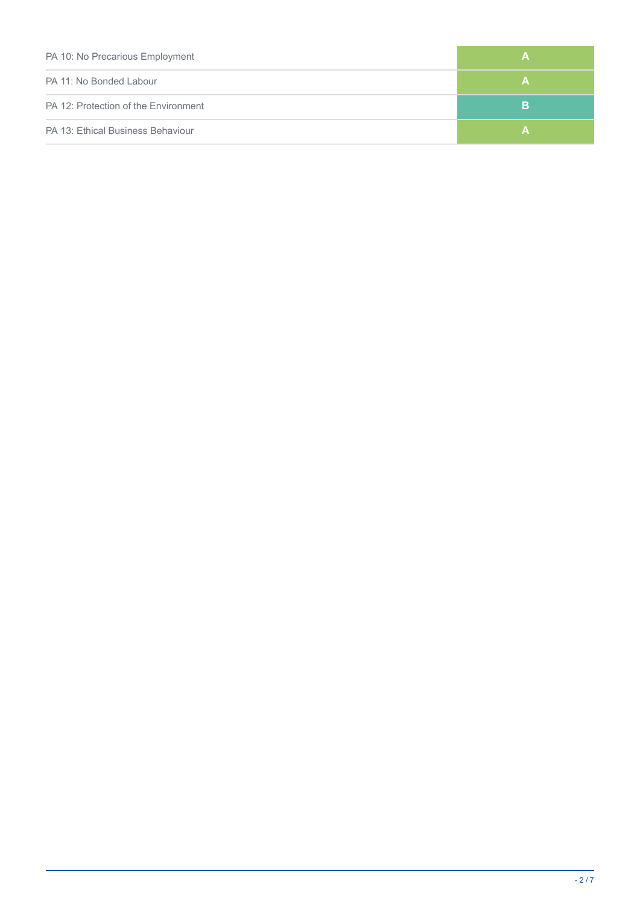| PA 10: No Precarious Employment      | А |
|--------------------------------------|---|
| PA 11: No Bonded Labour              | А |
| PA 12: Protection of the Environment | в |
| PA 13: Ethical Business Behaviour    | А |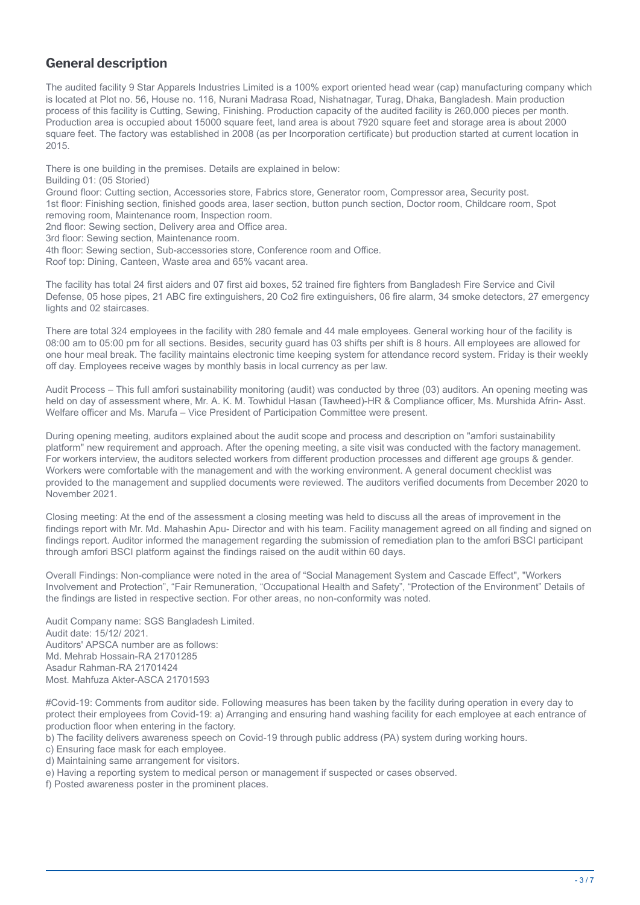## **General description**

The audited facility 9 Star Apparels Industries Limited is a 100% export oriented head wear (cap) manufacturing company which is located at Plot no. 56, House no. 116, Nurani Madrasa Road, Nishatnagar, Turag, Dhaka, Bangladesh. Main production process of this facility is Cutting, Sewing, Finishing. Production capacity of the audited facility is 260,000 pieces per month. Production area is occupied about 15000 square feet, land area is about 7920 square feet and storage area is about 2000 square feet. The factory was established in 2008 (as per Incorporation certificate) but production started at current location in 2015.

There is one building in the premises. Details are explained in below:

Building 01: (05 Storied)

Ground floor: Cutting section, Accessories store, Fabrics store, Generator room, Compressor area, Security post.

- 1st floor: Finishing section, finished goods area, laser section, button punch section, Doctor room, Childcare room, Spot
- removing room, Maintenance room, Inspection room.

2nd floor: Sewing section, Delivery area and Office area.

3rd floor: Sewing section, Maintenance room.

- 4th floor: Sewing section, Sub-accessories store, Conference room and Office.
- Roof top: Dining, Canteen, Waste area and 65% vacant area.

The facility has total 24 first aiders and 07 first aid boxes, 52 trained fire fighters from Bangladesh Fire Service and Civil Defense, 05 hose pipes, 21 ABC fire extinguishers, 20 Co2 fire extinguishers, 06 fire alarm, 34 smoke detectors, 27 emergency lights and 02 staircases.

There are total 324 employees in the facility with 280 female and 44 male employees. General working hour of the facility is 08:00 am to 05:00 pm for all sections. Besides, security guard has 03 shifts per shift is 8 hours. All employees are allowed for one hour meal break. The facility maintains electronic time keeping system for attendance record system. Friday is their weekly off day. Employees receive wages by monthly basis in local currency as per law.

Audit Process – This full amfori sustainability monitoring (audit) was conducted by three (03) auditors. An opening meeting was held on day of assessment where, Mr. A. K. M. Towhidul Hasan (Tawheed)-HR & Compliance officer, Ms. Murshida Afrin- Asst. Welfare officer and Ms. Marufa – Vice President of Participation Committee were present.

During opening meeting, auditors explained about the audit scope and process and description on "amfori sustainability platform" new requirement and approach. After the opening meeting, a site visit was conducted with the factory management. For workers interview, the auditors selected workers from different production processes and different age groups & gender. Workers were comfortable with the management and with the working environment. A general document checklist was provided to the management and supplied documents were reviewed. The auditors verified documents from December 2020 to November 2021.

Closing meeting: At the end of the assessment a closing meeting was held to discuss all the areas of improvement in the findings report with Mr. Md. Mahashin Apu- Director and with his team. Facility management agreed on all finding and signed on findings report. Auditor informed the management regarding the submission of remediation plan to the amfori BSCI participant through amfori BSCI platform against the findings raised on the audit within 60 days.

Overall Findings: Non-compliance were noted in the area of "Social Management System and Cascade Effect", "Workers Involvement and Protection", "Fair Remuneration, "Occupational Health and Safety", "Protection of the Environment" Details of the findings are listed in respective section. For other areas, no non-conformity was noted.

Audit Company name: SGS Bangladesh Limited. Audit date: 15/12/ 2021. Auditors' APSCA number are as follows: Md. Mehrab Hossain-RA 21701285 Asadur Rahman-RA 21701424 Most. Mahfuza Akter-ASCA 21701593

#Covid-19: Comments from auditor side. Following measures has been taken by the facility during operation in every day to protect their employees from Covid-19: a) Arranging and ensuring hand washing facility for each employee at each entrance of production floor when entering in the factory.

b) The facility delivers awareness speech on Covid-19 through public address (PA) system during working hours.

c) Ensuring face mask for each employee.

- d) Maintaining same arrangement for visitors.
- e) Having a reporting system to medical person or management if suspected or cases observed.

f) Posted awareness poster in the prominent places.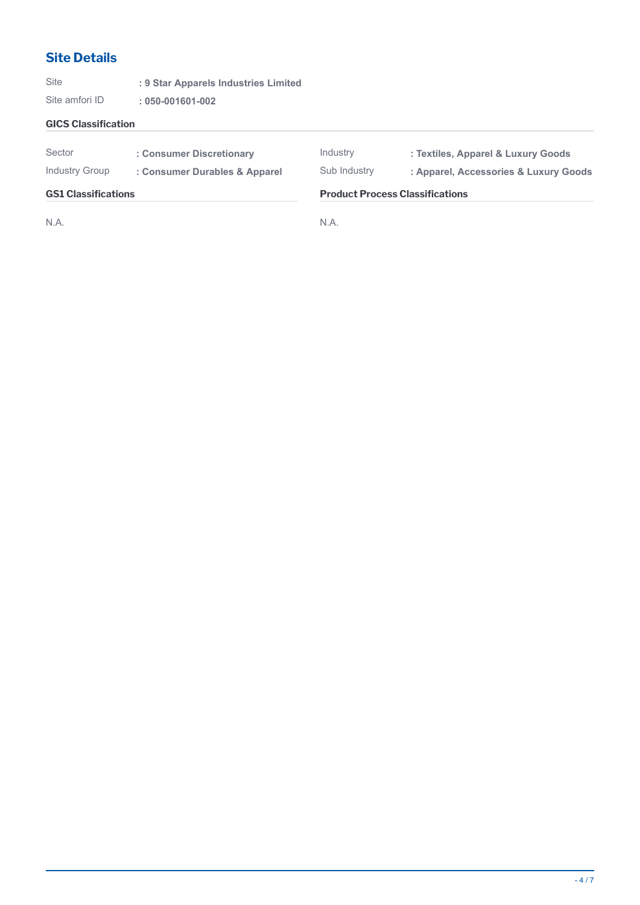# **Site Details**

Site **: 9 Star Apparels Industries Limited**

Site amfori ID **: 050-001601-002**

### **GICS Classification**

| Sector<br>Industry Group   | : Consumer Discretionary<br>: Consumer Durables & Apparel | Industry<br>Sub Industry | : Textiles, Apparel & Luxury Goods<br>: Apparel, Accessories & Luxury Goods |  |
|----------------------------|-----------------------------------------------------------|--------------------------|-----------------------------------------------------------------------------|--|
| <b>GS1 Classifications</b> |                                                           |                          | <b>Product Process Classifications</b>                                      |  |
| N.A.                       |                                                           | N.A                      |                                                                             |  |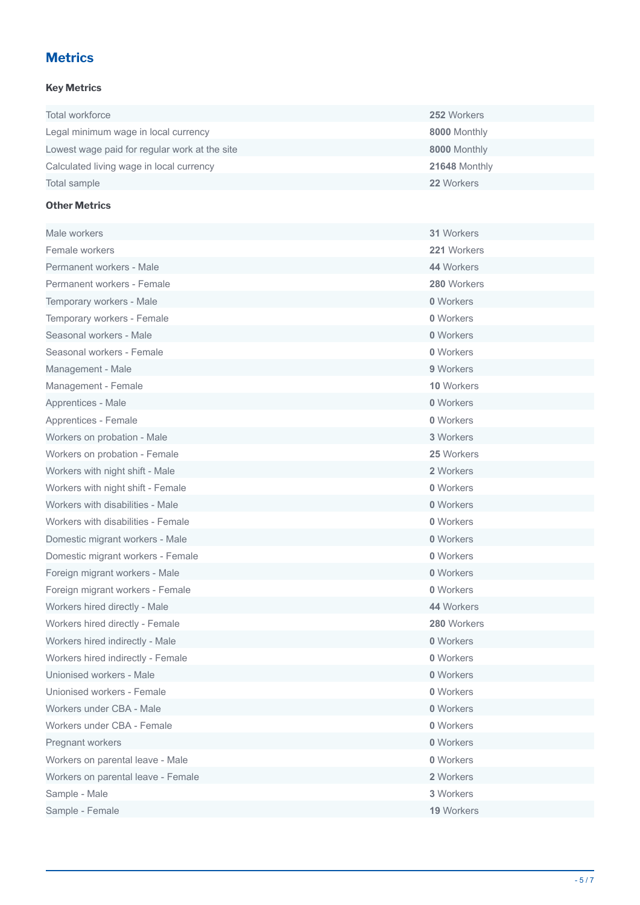# **Metrics**

## **Key Metrics**

| Total workforce                               | 252 Workers   |
|-----------------------------------------------|---------------|
| Legal minimum wage in local currency          | 8000 Monthly  |
| Lowest wage paid for regular work at the site | 8000 Monthly  |
| Calculated living wage in local currency      | 21648 Monthly |
| Total sample                                  | 22 Workers    |

## **Other Metrics**

| Male workers                       | 31 Workers  |
|------------------------------------|-------------|
| Female workers                     | 221 Workers |
| Permanent workers - Male           | 44 Workers  |
| Permanent workers - Female         | 280 Workers |
| Temporary workers - Male           | 0 Workers   |
| Temporary workers - Female         | 0 Workers   |
| Seasonal workers - Male            | 0 Workers   |
| Seasonal workers - Female          | 0 Workers   |
| Management - Male                  | 9 Workers   |
| Management - Female                | 10 Workers  |
| Apprentices - Male                 | 0 Workers   |
| Apprentices - Female               | 0 Workers   |
| Workers on probation - Male        | 3 Workers   |
| Workers on probation - Female      | 25 Workers  |
| Workers with night shift - Male    | 2 Workers   |
| Workers with night shift - Female  | 0 Workers   |
| Workers with disabilities - Male   | 0 Workers   |
| Workers with disabilities - Female | 0 Workers   |
| Domestic migrant workers - Male    | 0 Workers   |
| Domestic migrant workers - Female  | 0 Workers   |
| Foreign migrant workers - Male     | 0 Workers   |
| Foreign migrant workers - Female   | 0 Workers   |
| Workers hired directly - Male      | 44 Workers  |
| Workers hired directly - Female    | 280 Workers |
| Workers hired indirectly - Male    | 0 Workers   |
| Workers hired indirectly - Female  | 0 Workers   |
| Unionised workers - Male           | 0 Workers   |
| Unionised workers - Female         | 0 Workers   |
| Workers under CBA - Male           | 0 Workers   |
| Workers under CBA - Female         | 0 Workers   |
| Pregnant workers                   | 0 Workers   |
| Workers on parental leave - Male   | 0 Workers   |
| Workers on parental leave - Female | 2 Workers   |
| Sample - Male                      | 3 Workers   |
| Sample - Female                    | 19 Workers  |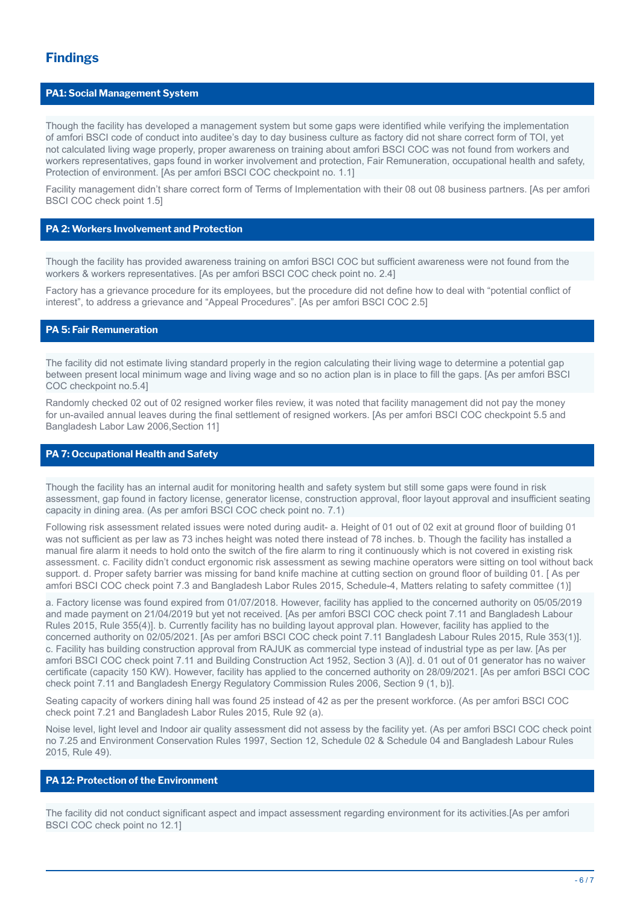#### **PA1: Social Management System**

Though the facility has developed a management system but some gaps were identified while verifying the implementation of amfori BSCI code of conduct into auditee's day to day business culture as factory did not share correct form of TOI, yet not calculated living wage properly, proper awareness on training about amfori BSCI COC was not found from workers and workers representatives, gaps found in worker involvement and protection, Fair Remuneration, occupational health and safety, Protection of environment. [As per amfori BSCI COC checkpoint no. 1.1]

Facility management didn't share correct form of Terms of Implementation with their 08 out 08 business partners. [As per amfori BSCI COC check point 1.5]

### **PA 2: Workers Involvement and Protection**

Though the facility has provided awareness training on amfori BSCI COC but sufficient awareness were not found from the workers & workers representatives. [As per amfori BSCI COC check point no. 2.4]

Factory has a grievance procedure for its employees, but the procedure did not define how to deal with "potential conflict of interest", to address a grievance and "Appeal Procedures". [As per amfori BSCI COC 2.5]

### **PA 5: Fair Remuneration**

The facility did not estimate living standard properly in the region calculating their living wage to determine a potential gap between present local minimum wage and living wage and so no action plan is in place to fill the gaps. [As per amfori BSCI COC checkpoint no.5.4]

Randomly checked 02 out of 02 resigned worker files review, it was noted that facility management did not pay the money for un-availed annual leaves during the final settlement of resigned workers. [As per amfori BSCI COC checkpoint 5.5 and Bangladesh Labor Law 2006,Section 11]

#### **PA 7: Occupational Health and Safety**

Though the facility has an internal audit for monitoring health and safety system but still some gaps were found in risk assessment, gap found in factory license, generator license, construction approval, floor layout approval and insufficient seating capacity in dining area. (As per amfori BSCI COC check point no. 7.1)

Following risk assessment related issues were noted during audit- a. Height of 01 out of 02 exit at ground floor of building 01 was not sufficient as per law as 73 inches height was noted there instead of 78 inches. b. Though the facility has installed a manual fire alarm it needs to hold onto the switch of the fire alarm to ring it continuously which is not covered in existing risk assessment. c. Facility didn't conduct ergonomic risk assessment as sewing machine operators were sitting on tool without back support. d. Proper safety barrier was missing for band knife machine at cutting section on ground floor of building 01. [ As per amfori BSCI COC check point 7.3 and Bangladesh Labor Rules 2015, Schedule-4, Matters relating to safety committee (1)]

a. Factory license was found expired from 01/07/2018. However, facility has applied to the concerned authority on 05/05/2019 and made payment on 21/04/2019 but yet not received. [As per amfori BSCI COC check point 7.11 and Bangladesh Labour Rules 2015, Rule 355(4)]. b. Currently facility has no building layout approval plan. However, facility has applied to the concerned authority on 02/05/2021. [As per amfori BSCI COC check point 7.11 Bangladesh Labour Rules 2015, Rule 353(1)]. c. Facility has building construction approval from RAJUK as commercial type instead of industrial type as per law. [As per amfori BSCI COC check point 7.11 and Building Construction Act 1952, Section 3 (A)]. d. 01 out of 01 generator has no waiver certificate (capacity 150 KW). However, facility has applied to the concerned authority on 28/09/2021. [As per amfori BSCI COC check point 7.11 and Bangladesh Energy Regulatory Commission Rules 2006, Section 9 (1, b)].

Seating capacity of workers dining hall was found 25 instead of 42 as per the present workforce. (As per amfori BSCI COC check point 7.21 and Bangladesh Labor Rules 2015, Rule 92 (a).

Noise level, light level and Indoor air quality assessment did not assess by the facility yet. (As per amfori BSCI COC check point no 7.25 and Environment Conservation Rules 1997, Section 12, Schedule 02 & Schedule 04 and Bangladesh Labour Rules 2015, Rule 49).

#### **PA 12: Protection of the Environment**

The facility did not conduct significant aspect and impact assessment regarding environment for its activities.[As per amfori BSCI COC check point no 12.1]